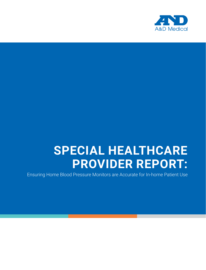

# **SPECIAL HEALTHCARE PROVIDER REPORT:**

Ensuring Home Blood Pressure Monitors are Accurate for In-home Patient Use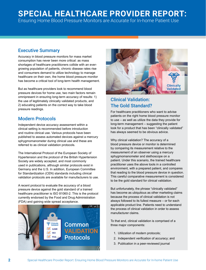# **SPECIAL HEALTHCARE PROVIDER REPORT:**

Ensuring Home Blood Pressure Monitors are Accurate for In-home Patient Use

# Executive Summary

Accuracy in blood pressure monitors for mass market consumption has never been more critical: as mass shortages of healthcare practitioners collide with an evergrowing population of patients, chronic disease rates rise and consumers demand to utilize technology to manage healthcare on their own, the home blood pressure monitor has become a critical tool of long-term health management.

But as healthcare providers look to recommend blood pressure devices for home use, two main factors remain omnipresent in ensuring long-term accuracy of results: 1) the use of legitimately clinically validated products, and 2) educating patients on the correct way to take blood pressure readings.

# Modern Protocols

Independent device accuracy assessment within a clinical setting is recommended before introduction and routine clinical use. Various protocols have been published to assess automated devices against a mercury sphygmomanometer during clinical use and these are referred to as clinical validation protocols.

The International Protocol of the European Society of Hypertension and the protocol of the British Hypertension Society are widely accepted, and most commonly used in publications, although similar protocols exist in Germany and the U.S. In addition, European Committee for Standardization (CEN) standards including clinical validation protocols are available for manufacturers to use.

A recent protocol to evaluate the accuracy of a blood pressure device against the gold standard of a trained healthcare practitioner is ISO 81060-2. This is the protocol currently endorsed by the Food and Drug Administration (FDA) and gaining wide spread acceptance.





# Clinical Validation: The Gold Standard?

For healthcare practitioners who want to advise patients on the right home blood pressure monitor to use – as well as utilize the data they provide for long-term management – suggesting the patient look for a product that has been "clinically validated" has always seemed to be obvious advice.

Why clinical validation? The accuracy of a blood pressure device or monitor is determined by comparing its measurement relative to the measurement of an observer using a mercury sphygmomanometer and stethoscope on a patient. Under this scenario, the trained healthcare practitioner uses the above tools in a controlled environment, with a prepared patient, and compares that reading to the blood pressure device in question. This careful comparative measurement is considered to be the gold standard for clinical validation.

But unfortunately, the phrase "clinically validated" has become as ubiquitous as other marketing claims because the process of clinical validation is not always followed to its fullest measure – or for each applicable product line. Patients need to understand the process of clinical validation in order to assess manufacturer claims.

To that end, clinical validation is comprised of a three major components:

- 1. Utilization of modern protocols;
- 2. Independent verification of accuracy; and
- 3. Publication in a peer-reviewed journal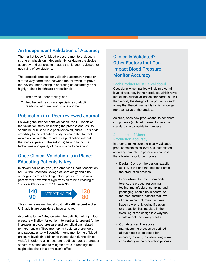# An Independent Validation of Accuracy

The market today for blood pressure monitors places a strong emphasis on independently validating the device accuracy and generating a study that is peer-reviewed for neutrality of conclusions.

The protocols process for validating accuracy hinges on a three-way correlation between the following, to prove the device under testing is operating as accurately as a highly-trained healthcare professional:

- 1. The device under testing; and
- 2. Two trained healthcare specialists conducting readings, who are blind to one another.

### Publication in a Peer-reviewed Journal

Following the independent validation, the full report of the validation study describing the process and results should be published in a peer-reviewed journal. This adds credibility to the validation study because the Journal would not include the report in its publication without the medical peers of the author(s) having found the techniques and quality of the outcome to be sound.

# Once Clinical Validation is in Place: Educating Patients is Key

In November of last year, the American Heart Association (AHA), the American College of Cardiology and nine other groups redefined high blood pressure: The new parameters now reflect hypertension to be a reading of 130 over 80, down from 140 over 90.



This change means that almost half – **46 percent** – of all U.S. adults are considered hypertensive.

According to the AHA, lowering the definition of high blood pressure will allow for earlier intervention to prevent further increases in blood pressure and complications related to hypertension. They are hoping healthcare providers and patients alike will consider home monitoring of blood pressure levels (in addition to those taken during clinical visits), in order to gain accurate readings across a broader spectrum of time and to mitigate errors in readings that might take place in a physician's office.

# Clinically Validated? Other Factors that Can Impact Blood Pressure **Monitor Accuracy**

#### Each Product Must Be Validated

Occasionally, companies will claim a certain level of accuracy in their products, which have met all the clinical validation standards, but will then modify the design of the product in such a way that the original validation is no longer representative of the product.

As such, each new product and its peripheral components (cuffs, etc.) need to pass the standard clinical validation process.

#### Assurance of Mass Production Accuracy

In order to make sure a clinically-validated product maintains its level of substantiated accuracy through the production process, the following should be in place:

- **Design Control:** the design, exactly as it is, is the one that needs to enter the production process.
- **Production Control:** From endto-end, the product resourcing, testing, manufacture, sampling and packaging, should be in control of the manufacturer. Without that level of precise control, manufacturers have no way of knowing if design or production has resulted in the tweaking of the design in a way that would negate accuracy results.
- **Consistency:** The above manufacturing process as defined above needs to be tested for accuracy as well, to ensure long-term consistency in the production process.